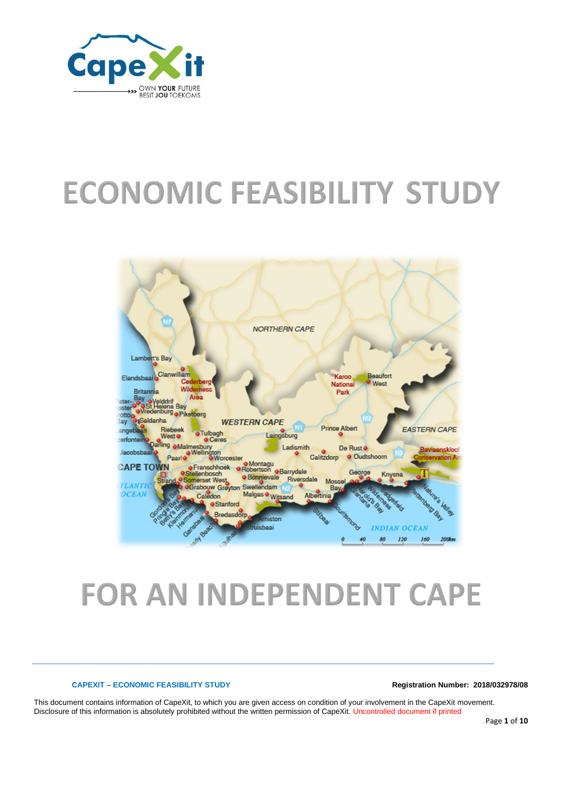

# **ECONOMIC FEASIBILITY STUDY**



# **FOR AN INDEPENDENT CAPE**

### **CAPEXIT – ECONOMIC FEASIBILITY STUDY Registration Number: 2018/032978/08**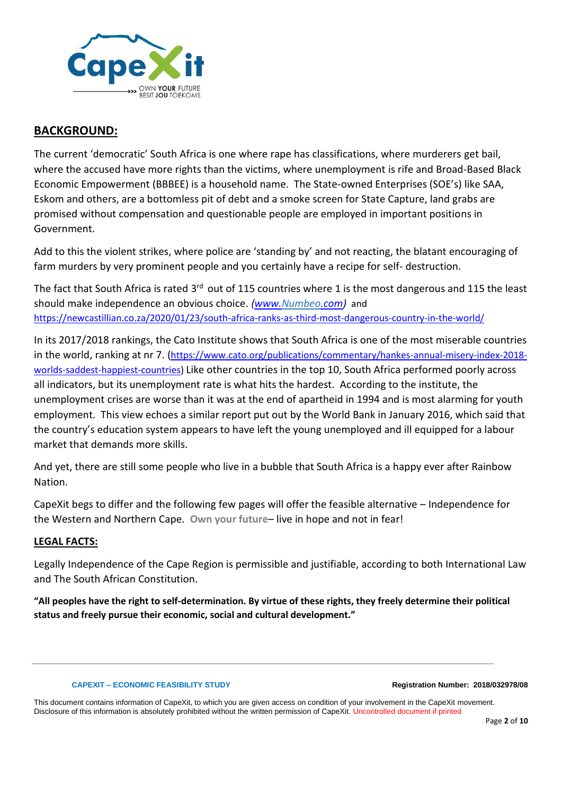

# **BACKGROUND:**

The current 'democratic' South Africa is one where rape has classifications, where murderers get bail, where the accused have more rights than the victims, where unemployment is rife and Broad-Based Black Economic Empowerment (BBBEE) is a household name. The State-owned Enterprises (SOE's) like SAA, Eskom and others, are a bottomless pit of debt and a smoke screen for State Capture, land grabs are promised without compensation and questionable people are employed in important positions in Government.

Add to this the violent strikes, where police are 'standing by' and not reacting, the blatant encouraging of farm murders by very prominent people and you certainly have a recipe for self- destruction.

The fact that South Africa is rated 3<sup>rd</sup> out of 115 countries where 1 is the most dangerous and 115 the least should make independence an obvious choice. *[\(www.Numbeo.com\)](http://www.numbeo.com/)* and <https://newcastillian.co.za/2020/01/23/south-africa-ranks-as-third-most-dangerous-country-in-the-world/>

In its 2017/2018 rankings, the Cato Institute shows that South Africa is one of the most miserable countries in the world, ranking at nr 7. ([https://www.cato.org/publications/commentary/hankes-annual-misery-index-2018](https://www.cato.org/publications/commentary/hankes-annual-misery-index-2018-worlds-saddest-happiest-countries) [worlds-saddest-happiest-countries\)](https://www.cato.org/publications/commentary/hankes-annual-misery-index-2018-worlds-saddest-happiest-countries) Like other countries in the top 10, South Africa performed poorly across all indicators, but its unemployment rate is what hits the hardest. According to the institute, the unemployment crises are worse than it was at the end of apartheid in 1994 and is most alarming for youth employment. This view echoes a similar report put out by the World Bank in January 2016, which said that the country's education system appears to have left the young unemployed and ill equipped for a labour market that demands more skills.

And yet, there are still some people who live in a bubble that South Africa is a happy ever after Rainbow Nation.

CapeXit begs to differ and the following few pages will offer the feasible alternative – Independence for the Western and Northern Cape. **Own your future**– live in hope and not in fear!

# **LEGAL FACTS:**

Legally Independence of the Cape Region is permissible and justifiable, according to both International Law and The South African Constitution.

**"All peoples have the right to self-determination. By virtue of these rights, they freely determine their political status and freely pursue their economic, social and cultural development."**

### **CAPEXIT – ECONOMIC FEASIBILITY STUDY Registration Number: 2018/032978/08**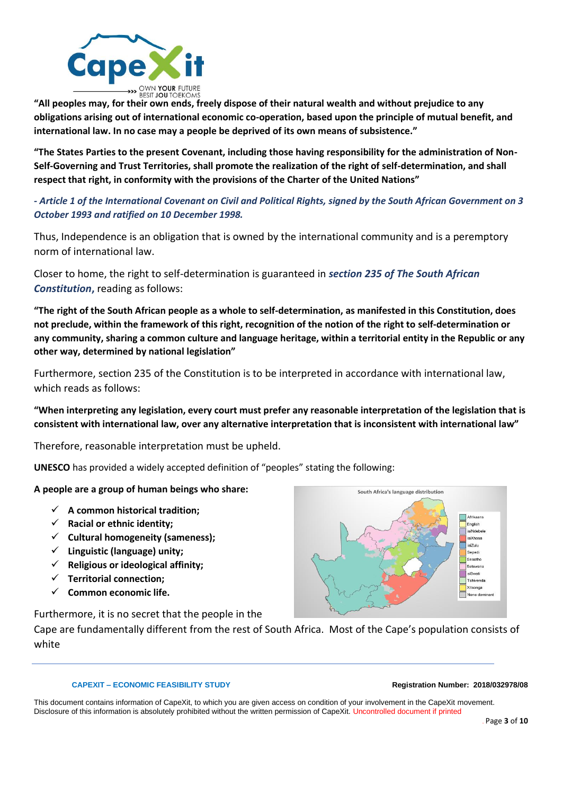

**"All peoples may, for their own ends, freely dispose of their natural wealth and without prejudice to any obligations arising out of international economic co-operation, based upon the principle of mutual benefit, and international law. In no case may a people be deprived of its own means of subsistence."**

**"The States Parties to the present Covenant, including those having responsibility for the administration of Non-Self-Governing and Trust Territories, shall promote the realization of the right of self-determination, and shall respect that right, in conformity with the provisions of the Charter of the United Nations"**

# *- Article 1 of the International Covenant on Civil and Political Rights, signed by the South African Government on 3 October 1993 and ratified on 10 December 1998.*

Thus, Independence is an obligation that is owned by the international community and is a peremptory norm of international law.

Closer to home, the right to self-determination is guaranteed in *section 235 of The South African Constitution***,** reading as follows:

**"The right of the South African people as a whole to self-determination, as manifested in this Constitution, does not preclude, within the framework of this right, recognition of the notion of the right to self-determination or any community, sharing a common culture and language heritage, within a territorial entity in the Republic or any other way, determined by national legislation"**

Furthermore, section 235 of the Constitution is to be interpreted in accordance with international law, which reads as follows:

**"When interpreting any legislation, every court must prefer any reasonable interpretation of the legislation that is consistent with international law, over any alternative interpretation that is inconsistent with international law"**

Therefore, reasonable interpretation must be upheld.

**UNESCO** has provided a widely accepted definition of "peoples" stating the following:

## **A people are a group of human beings who share:**

- ✓ **A common historical tradition;**
- ✓ **Racial or ethnic identity;**
- ✓ **Cultural homogeneity (sameness);**
- ✓ **Linguistic (language) unity;**
- ✓ **Religious or ideological affinity;**
- ✓ **Territorial connection;**
- ✓ **Common economic life.**

Furthermore, it is no secret that the people in the

Cape are fundamentally different from the rest of South Africa. Most of the Cape's population consists of white

### **CAPEXIT – ECONOMIC FEASIBILITY STUDY Registration Number: 2018/032978/08**

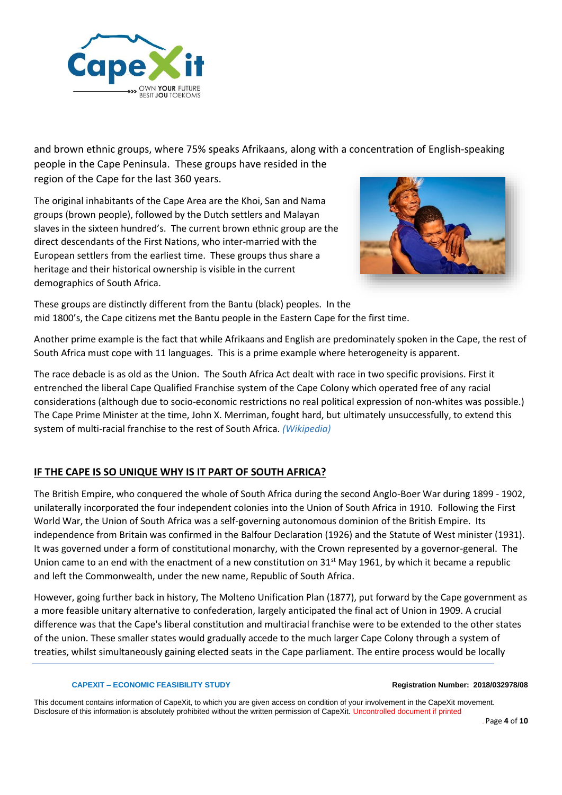

and brown ethnic groups, where 75% speaks Afrikaans, along with a concentration of English-speaking people in the Cape Peninsula. These groups have resided in the region of the Cape for the last 360 years.

The original inhabitants of the Cape Area are the Khoi, San and Nama groups (brown people), followed by the Dutch settlers and Malayan slaves in the sixteen hundred's. The current brown ethnic group are the direct descendants of the First Nations, who inter-married with the European settlers from the earliest time. These groups thus share a heritage and their historical ownership is visible in the current demographics of South Africa.



These groups are distinctly different from the Bantu (black) peoples. In the mid 1800's, the Cape citizens met the Bantu people in the Eastern Cape for the first time.

Another prime example is the fact that while Afrikaans and English are predominately spoken in the Cape, the rest of South Africa must cope with 11 languages. This is a prime example where heterogeneity is apparent.

The race debacle is as old as the Union. Th[e South Africa Act](https://en.wikipedia.org/wiki/South_Africa_Act) dealt with race in two specific provisions. First it entrenched the liberal [Cape Qualified Franchise](https://en.wikipedia.org/wiki/Cape_Qualified_Franchise) system of the [Cape Colony](https://en.wikipedia.org/wiki/Cape_Colony) which operated free of any racial considerations (although due to socio-economic restrictions no real political expression of non-whites was possible.) The Cape [Prime Minister](https://en.wikipedia.org/wiki/Prime_Minister) at the time, [John X. Merriman,](https://en.wikipedia.org/wiki/John_X._Merriman) fought hard, but ultimately unsuccessfully, to extend this system of multi-racial franchise to the rest of [South Africa.](https://en.wikipedia.org/wiki/South_Africa) *(Wikipedia)*

# **IF THE CAPE IS SO UNIQUE WHY IS IT PART OF SOUTH AFRICA?**

The British Empire, who conquered the whole of South Africa during the second Anglo-Boer War during 1899 - 1902, unilaterally incorporated the four independent colonies into the Union of South Africa in 1910. Following the First World War, the Union of South Africa was a self-governing autonomous dominion of the British Empire. Its independence from Britain was confirmed in the Balfour Declaration (1926) and the Statute of West minister (1931). It was governed under a form of constitutional monarchy, with the Crown represented by a governor-general. The Union came to an end with the enactment of a new constitution on 31<sup>st</sup> May 1961, by which it became a republic and left the Commonwealth, under the new name, Republic of South Africa.

However, going further back in history, The Molteno Unification Plan (1877), put forward by the Cape government as a more feasible [unitary](https://en.wikipedia.org/wiki/Unitary_(state)) alternative t[o confederation,](https://en.wikipedia.org/wiki/Confederation) largely anticipated the final act of Union in 1909. A crucial difference was that the Cape's liberal constitution and multiracial franchise were to be extended to the other states of the union. These smaller states would gradually accede to the much larger [Cape Colony](https://en.wikipedia.org/wiki/Cape_Colony) through a system of treaties, whilst simultaneously gaining elected seats in th[e Cape parliament.](https://en.wikipedia.org/wiki/Parliament_of_the_Cape_of_Good_Hope) The entire process would be locally

### **CAPEXIT – ECONOMIC FEASIBILITY STUDY Registration Number: 2018/032978/08**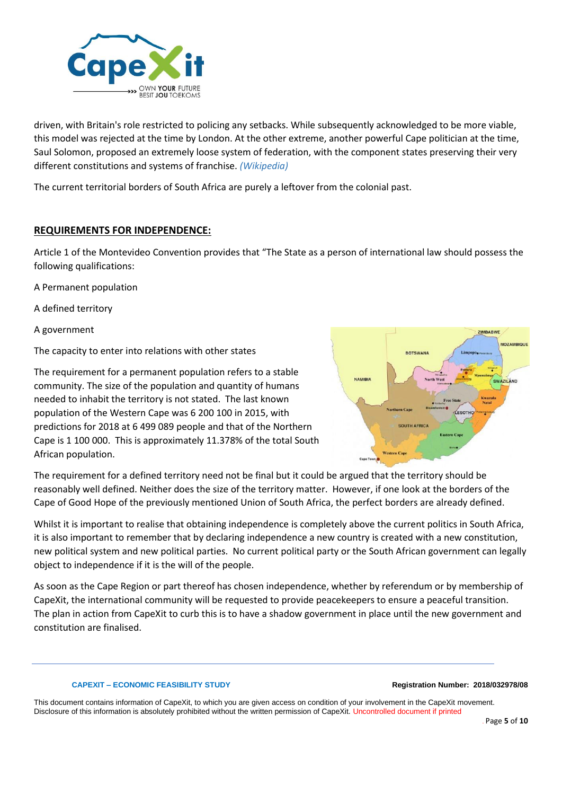

driven, with Britain's role restricted to policing any setbacks. While subsequently acknowledged to be more viable, this model was rejected at the time by London. At the other extreme, another powerful Cape politician at the time, [Saul Solomon,](https://en.wikipedia.org/wiki/Saul_Solomon) proposed an extremely loose system of federation, with the component states preserving their very different constitutions and systems of franchise. *(Wikipedia)*

The current territorial borders of South Africa are purely a leftover from the colonial past.

# **REQUIREMENTS FOR INDEPENDENCE:**

Article 1 of the Montevideo Convention provides that "The State as a person of international law should possess the following qualifications:

A Permanent population

A defined territory

A government

The capacity to enter into relations with other states

The requirement for a permanent population refers to a stable community. The size of the population and quantity of humans needed to inhabit the territory is not stated. The last known population of the Western Cape was 6 200 100 in 2015, with predictions for 2018 at 6 499 089 people and that of the Northern Cape is 1 100 000. This is approximately 11.378% of the total South African population.



The requirement for a defined territory need not be final but it could be argued that the territory should be reasonably well defined. Neither does the size of the territory matter. However, if one look at the borders of the Cape of Good Hope of the previously mentioned Union of South Africa, the perfect borders are already defined.

Whilst it is important to realise that obtaining independence is completely above the current politics in South Africa, it is also important to remember that by declaring independence a new country is created with a new constitution, new political system and new political parties. No current political party or the South African government can legally object to independence if it is the will of the people.

As soon as the Cape Region or part thereof has chosen independence, whether by referendum or by membership of CapeXit, the international community will be requested to provide peacekeepers to ensure a peaceful transition. The plan in action from CapeXit to curb this is to have a shadow government in place until the new government and constitution are finalised.

### **CAPEXIT – ECONOMIC FEASIBILITY STUDY Registration Number: 2018/032978/08**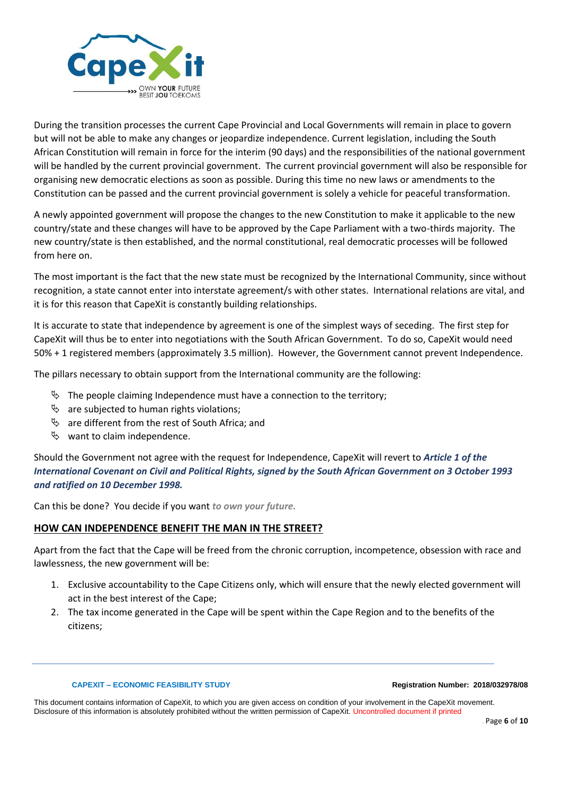

During the transition processes the current Cape Provincial and Local Governments will remain in place to govern but will not be able to make any changes or jeopardize independence. Current legislation, including the South African Constitution will remain in force for the interim (90 days) and the responsibilities of the national government will be handled by the current provincial government. The current provincial government will also be responsible for organising new democratic elections as soon as possible. During this time no new laws or amendments to the Constitution can be passed and the current provincial government is solely a vehicle for peaceful transformation.

A newly appointed government will propose the changes to the new Constitution to make it applicable to the new country/state and these changes will have to be approved by the Cape Parliament with a two-thirds majority. The new country/state is then established, and the normal constitutional, real democratic processes will be followed from here on.

The most important is the fact that the new state must be recognized by the International Community, since without recognition, a state cannot enter into interstate agreement/s with other states. International relations are vital, and it is for this reason that CapeXit is constantly building relationships.

It is accurate to state that independence by agreement is one of the simplest ways of seceding. The first step for CapeXit will thus be to enter into negotiations with the South African Government. To do so, CapeXit would need 50% + 1 registered members (approximately 3.5 million). However, the Government cannot prevent Independence.

The pillars necessary to obtain support from the International community are the following:

- $\%$  The people claiming Independence must have a connection to the territory;
- $\%$  are subjected to human rights violations;
- $\%$  are different from the rest of South Africa; and
- $\%$  want to claim independence.

Should the Government not agree with the request for Independence, CapeXit will revert to *Article 1 of the International Covenant on Civil and Political Rights, signed by the South African Government on 3 October 1993 and ratified on 10 December 1998.*

Can this be done? You decide if you want *to own your future.*

## **HOW CAN INDEPENDENCE BENEFIT THE MAN IN THE STREET?**

Apart from the fact that the Cape will be freed from the chronic corruption, incompetence, obsession with race and lawlessness, the new government will be:

- 1. Exclusive accountability to the Cape Citizens only, which will ensure that the newly elected government will act in the best interest of the Cape;
- 2. The tax income generated in the Cape will be spent within the Cape Region and to the benefits of the citizens;

### **CAPEXIT – ECONOMIC FEASIBILITY STUDY Registration Number: 2018/032978/08**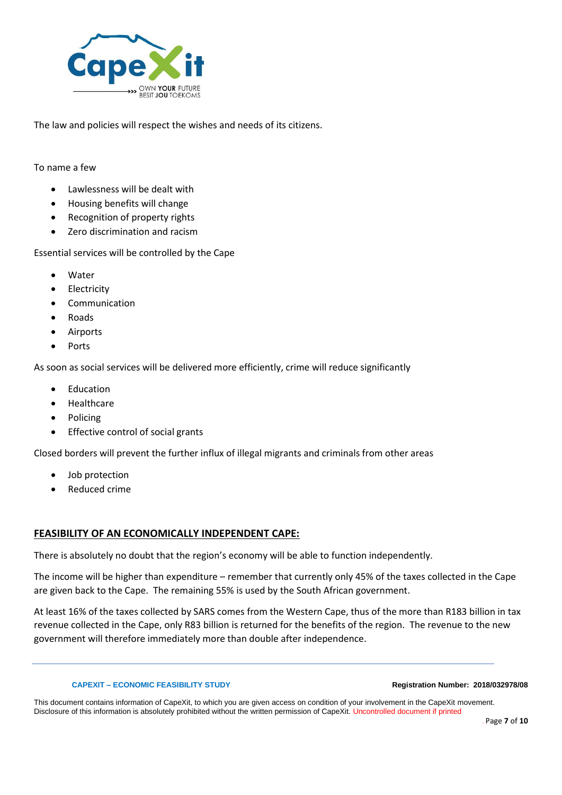

The law and policies will respect the wishes and needs of its citizens.

### To name a few

- Lawlessness will be dealt with
- Housing benefits will change
- Recognition of property rights
- Zero discrimination and racism

Essential services will be controlled by the Cape

- Water
- **Electricity**
- **Communication**
- Roads
- Airports
- Ports

As soon as social services will be delivered more efficiently, crime will reduce significantly

- **Education**
- **Healthcare**
- Policing
- Effective control of social grants

Closed borders will prevent the further influx of illegal migrants and criminals from other areas

- Job protection
- Reduced crime

# **FEASIBILITY OF AN ECONOMICALLY INDEPENDENT CAPE:**

There is absolutely no doubt that the region's economy will be able to function independently.

The income will be higher than expenditure – remember that currently only 45% of the taxes collected in the Cape are given back to the Cape. The remaining 55% is used by the South African government.

At least 16% of the taxes collected by SARS comes from the Western Cape, thus of the more than R183 billion in tax revenue collected in the Cape, only R83 billion is returned for the benefits of the region. The revenue to the new government will therefore immediately more than double after independence.

### **CAPEXIT – ECONOMIC FEASIBILITY STUDY Registration Number: 2018/032978/08**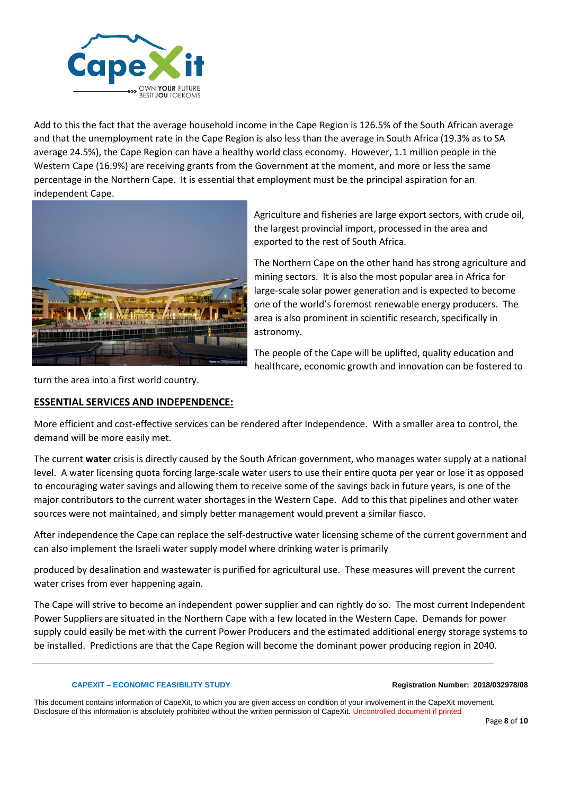

Add to this the fact that the average household income in the Cape Region is 126.5% of the South African average and that the unemployment rate in the Cape Region is also less than the average in South Africa (19.3% as to SA average 24.5%), the Cape Region can have a healthy world class economy. However, 1.1 million people in the Western Cape (16.9%) are receiving grants from the Government at the moment, and more or less the same percentage in the Northern Cape. It is essential that employment must be the principal aspiration for an independent Cape.



Agriculture and fisheries are large export sectors, with crude oil, the largest provincial import, processed in the area and exported to the rest of South Africa.

The Northern Cape on the other hand has strong agriculture and mining sectors. It is also the most popular area in Africa for large-scale solar power generation and is expected to become one of the world's foremost renewable energy producers. The area is also prominent in scientific research, specifically in astronomy.

The people of the Cape will be uplifted, quality education and healthcare, economic growth and innovation can be fostered to

turn the area into a first world country.

# **ESSENTIAL SERVICES AND INDEPENDENCE:**

More efficient and cost-effective services can be rendered after Independence. With a smaller area to control, the demand will be more easily met.

The current **water** crisis is directly caused by the South African government, who manages water supply at a national level. A water licensing quota forcing large-scale water users to use their entire quota per year or lose it as opposed to encouraging water savings and allowing them to receive some of the savings back in future years, is one of the major contributors to the current water shortages in the Western Cape. Add to this that pipelines and other water sources were not maintained, and simply better management would prevent a similar fiasco.

After independence the Cape can replace the self-destructive water licensing scheme of the current government and can also implement the Israeli water supply model where drinking water is primarily

produced by desalination and wastewater is purified for agricultural use. These measures will prevent the current water crises from ever happening again.

The Cape will strive to become an independent power supplier and can rightly do so. The most current Independent Power Suppliers are situated in the Northern Cape with a few located in the Western Cape. Demands for power supply could easily be met with the current Power Producers and the estimated additional energy storage systems to be installed. Predictions are that the Cape Region will become the dominant power producing region in 2040.

### **CAPEXIT – ECONOMIC FEASIBILITY STUDY Registration Number: 2018/032978/08**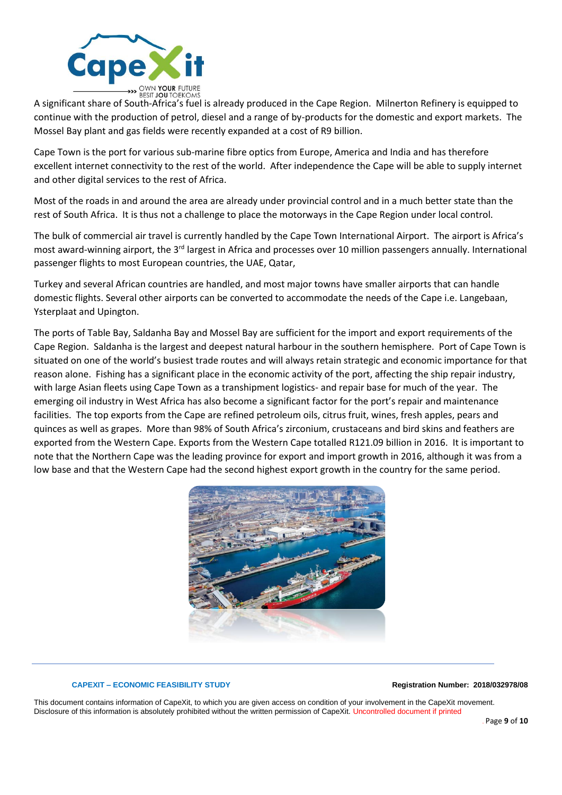

A significant share of South-Africa's fuel is already produced in the Cape Region. Milnerton Refinery is equipped to A significant share of South-Africa's fuel is already produced in the Cape Region. Milnerton Refinery is continue with the production of petrol, diesel and a range of by-products for the domestic and export markets. The Mossel Bay plant and gas fields were recently expanded at a cost of R9 billion.

Cape Town is the port for various sub-marine fibre optics from Europe, America and India and has therefore excellent internet connectivity to the rest of the world. After independence the Cape will be able to supply internet and other digital services to the rest of Africa.

Most of the roads in and around the area are already under provincial control and in a much better state than the rest of South Africa. It is thus not a challenge to place the motorways in the Cape Region under local control.

The bulk of commercial air travel is currently handled by the Cape Town International Airport. The airport is Africa's most award-winning airport, the 3rd largest in Africa and processes over 10 million passengers annually. International passenger flights to most European countries, the UAE, Qatar,

Turkey and several African countries are handled, and most major towns have smaller airports that can handle domestic flights. Several other airports can be converted to accommodate the needs of the Cape i.e. Langebaan, Ysterplaat and Upington.

The ports of Table Bay, Saldanha Bay and Mossel Bay are sufficient for the import and export requirements of the Cape Region. Saldanha is the largest and deepest natural harbour in the southern hemisphere. Port of Cape Town is situated on one of the world's busiest trade routes and will always retain strategic and economic importance for that reason alone. Fishing has a significant place in the economic activity of the port, affecting the ship repair industry, with large Asian fleets using Cape Town as a transhipment logistics- and repair base for much of the year. The emerging oil industry in West Africa has also become a significant factor for the port's repair and maintenance facilities. The top exports from the Cape are refined petroleum oils, citrus fruit, wines, fresh apples, pears and quinces as well as grapes. More than 98% of South Africa's zirconium, crustaceans and bird skins and feathers are exported from the Western Cape. Exports from the Western Cape totalled R121.09 billion in 2016. It is important to note that the Northern Cape was the leading province for export and import growth in 2016, although it was from a low base and that the Western Cape had the second highest export growth in the country for the same period.



### **CAPEXIT – ECONOMIC FEASIBILITY STUDY Registration Number: 2018/032978/08**